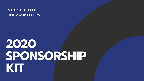### **VEX 90819 NJ:** THE ZOOKEEPERS

# 2020 SPONSORSHIP KIT

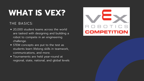## **WHAT IS VEX?**

### THE BASICS:

- 20,000 student teams across the world are tasked with designing and building a robot to compete in an engineering challenge.
- STEM concepts are put to the test as students learn lifelong skills in teamwork, communications, and more.
- Tournaments are held year-round at regional, state, national, and global levels

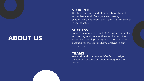#### **STUDENTS**

Our team is composed of high school students across Monmouth County's most prestigious schools, including High Tech - the #1 STEM school in the country.

#### **SUCCESS**

We work and compete as 90819A to design unique and successful robots throughout the season.

Success is ingrained in out DNA - we consistently win our regional competitions, and attend the NJ State championships every year. We have also qualified for the World Championships in our second year.

#### **TEAMS**

### **ABOUT US**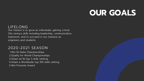## **OUR GOALS**

1. Win NJ State Championships 2. Qualify for World Championships Attain an NJ top 3 skills ranking 3. Attain a Worldwide top 100 skills ranking 4. Win Promote Award 5.

### LIFELONG

Our mission is to grow as individuals, gaining critical 21st century skills including leadership, communication, teamwork, and to succeed in our missions as engineers and students

### 2020-2021 SEASON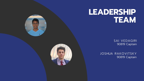

### LEADERSHIP TEAM

**SAI VEDAGIRI** 90819 Captain

JOSHUA RAKOVITSKY 90819 Captain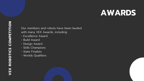Our members and robots have been lauded with many VEX Awards, including:

### **AWARDS**

- Excellence Award
- Build Award
- Design Award
- Skills Champions
- State Finalists
- Worlds Qualifiers

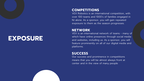#### **COMPETITIONS**

VEX Robotics is an international competition, with over 100 teams and 1000' s of families engaged in NJ alone. As a sponsor, you will gain repeated exposure to them as the season progresses.

#### **NETWORK**

VEX is an international network of teams - many of which have online presences through social media and websites, including us. As a sponsor, you will feature prominently on all of our digital media and platforms.

#### **SUCCESS**

Our success and prominence in competitions means that you will be almost always front at center and in the view of many people

### **EXPOSURE**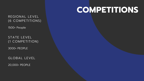### **COMPETITIONS**

REGIONAL LEVEL (6 COMPETITIONS)

1500+ People

STATE LEVEL (1 COMPETITION)

3000+ PEOPLE

GLOBAL LEVEL

20,000+ PEOPLE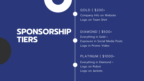### **SPONSORSHIP TIERS**

GOLD | \$200+ Company Info on Website Logo on Team Shirt

### DIAMOND | \$500+ Everything in Gold + Exposure in Social Media Posts Logo in Promo Video

PLATINUM | \$1000+ Everything in Diamond + Logo on Robot Logo on Jackets